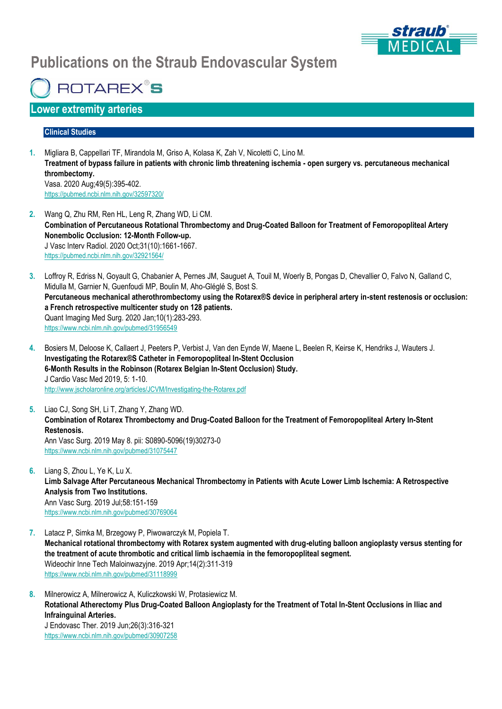

# **Publications on the Straub Endovascular System**

**ROTAREX<sup>®</sup>S** 

# **Lower extremity arteries**

#### **Clinical Studies**

- **1.** Migliara B, Cappellari TF, Mirandola M, Griso A, Kolasa K, Zah V, Nicoletti C, Lino M. **Treatment of bypass failure in patients with chronic limb threatening ischemia - open surgery vs. percutaneous mechanical thrombectomy.** Vasa. 2020 Aug;49(5):395-402. https://pubmed.ncbi.nlm.nih.gov/32597320/
- **2.** Wang Q, Zhu RM, Ren HL, Leng R, Zhang WD, Li CM. **Combination of Percutaneous Rotational Thrombectomy and Drug-Coated Balloon for Treatment of Femoropopliteal Artery Nonembolic Occlusion: 12-Month Follow-up.** J Vasc Interv Radiol. 2020 Oct;31(10):1661-1667. https://pubmed.ncbi.nlm.nih.gov/32921564/
- **3.** Loffroy R, Edriss N, Goyault G, Chabanier A, Pernes JM, Sauguet A, Touil M, Woerly B, Pongas D, Chevallier O, Falvo N, Galland C, Midulla M, Garnier N, Guenfoudi MP, Boulin M, Aho-Gléglé S, Bost S. **Percutaneous mechanical atherothrombectomy using the Rotarex®S device in peripheral artery in-stent restenosis or occlusion: a French retrospective multicenter study on 128 patients.** Quant Imaging Med Surg. 2020 Jan;10(1):283-293. <https://www.ncbi.nlm.nih.gov/pubmed/31956549>
- **4.** Bosiers M, Deloose K, Callaert J, Peeters P, Verbist J, Van den Eynde W, Maene L, Beelen R, Keirse K, Hendriks J, Wauters J. **Investigating the Rotarex®S Catheter in Femoropopliteal In-Stent Occlusion 6-Month Results in the Robinson (Rotarex Belgian In-Stent Occlusion) Study.** J Cardio Vasc Med 2019, 5: 1-10. <http://www.jscholaronline.org/articles/JCVM/Investigating-the-Rotarex.pdf>
- **5.** Liao CJ, Song SH, Li T, Zhang Y, Zhang WD. **Combination of Rotarex Thrombectomy and Drug-Coated Balloon for the Treatment of Femoropopliteal Artery In-Stent Restenosis.** Ann Vasc Surg. 2019 May 8. pii: S0890-5096(19)30273-0 <https://www.ncbi.nlm.nih.gov/pubmed/31075447>
- **6.** Liang S, Zhou L, Ye K, Lu X. **Limb Salvage After Percutaneous Mechanical Thrombectomy in Patients with Acute Lower Limb Ischemia: A Retrospective Analysis from Two Institutions.** Ann Vasc Surg. 2019 Jul;58:151-159 <https://www.ncbi.nlm.nih.gov/pubmed/30769064>
- **7.** Latacz P, Simka M, Brzegowy P, Piwowarczyk M, Popiela T. **Mechanical rotational thrombectomy with Rotarex system augmented with drug-eluting balloon angioplasty versus stenting for the treatment of acute thrombotic and critical limb ischaemia in the femoropopliteal segment.** Wideochir Inne Tech Maloinwazyjne. 2019 Apr;14(2):311-319 <https://www.ncbi.nlm.nih.gov/pubmed/31118999>
- **8.** Milnerowicz A, Milnerowicz A, Kuliczkowski W, Protasiewicz M. **Rotational Atherectomy Plus Drug-Coated Balloon Angioplasty for the Treatment of Total In-Stent Occlusions in Iliac and Infrainguinal Arteries.** J Endovasc Ther. 2019 Jun;26(3):316-321 <https://www.ncbi.nlm.nih.gov/pubmed/30907258>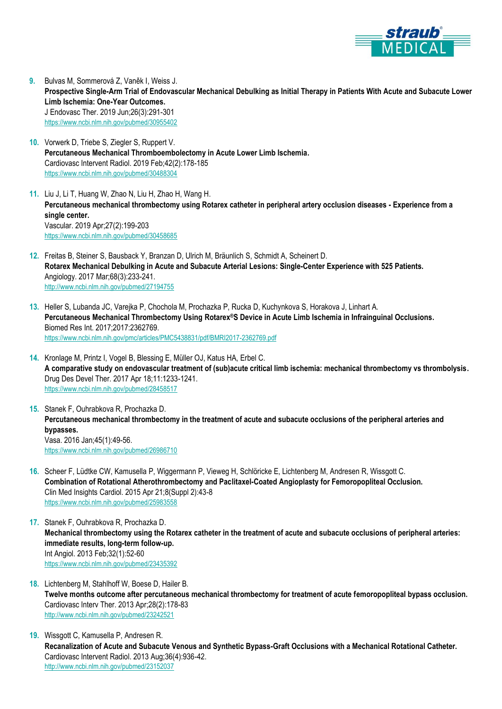

- **9.** Bulvas M, Sommerová Z, Vaněk I, Weiss J. **Prospective Single-Arm Trial of Endovascular Mechanical Debulking as Initial Therapy in Patients With Acute and Subacute Lower Limb Ischemia: One-Year Outcomes.** J Endovasc Ther. 2019 Jun;26(3):291-301 <https://www.ncbi.nlm.nih.gov/pubmed/30955402>
- **10.** Vorwerk D, Triebe S, Ziegler S, Ruppert V. **Percutaneous Mechanical Thromboembolectomy in Acute Lower Limb Ischemia.** Cardiovasc Intervent Radiol. 2019 Feb;42(2):178-185 <https://www.ncbi.nlm.nih.gov/pubmed/30488304>
- **11.** Liu J, Li T, Huang W, Zhao N, Liu H, Zhao H, Wang H. **Percutaneous mechanical thrombectomy using Rotarex catheter in peripheral artery occlusion diseases - Experience from a single center.** Vascular. 2019 Apr;27(2):199-203 <https://www.ncbi.nlm.nih.gov/pubmed/30458685>
- **12.** Freitas B, Steiner S, Bausback Y, Branzan D, Ulrich M, Bräunlich S, Schmidt A, Scheinert D. **Rotarex Mechanical Debulking in Acute and Subacute Arterial Lesions: Single-Center Experience with 525 Patients.** Angiology. 2017 Mar;68(3):233-241. <http://www.ncbi.nlm.nih.gov/pubmed/27194755>
- **13.** Heller S, Lubanda JC, Varejka P, Chochola M, Prochazka P, Rucka D, Kuchynkova S, Horakova J, Linhart A. **Percutaneous Mechanical Thrombectomy Using Rotarex®S Device in Acute Limb Ischemia in Infrainguinal Occlusions.** Biomed Res Int. 2017;2017:2362769. <https://www.ncbi.nlm.nih.gov/pmc/articles/PMC5438831/pdf/BMRI2017-2362769.pdf>
- **14.** Kronlage M, Printz I, Vogel B, Blessing E, Müller OJ, Katus HA, Erbel C. **A comparative study on endovascular treatment of (sub)acute critical limb ischemia: mechanical thrombectomy vs thrombolysis.** Drug Des Devel Ther. 2017 Apr 18;11:1233-1241. <https://www.ncbi.nlm.nih.gov/pubmed/28458517>
- **15.** Stanek F, Ouhrabkova R, Prochazka D. **Percutaneous mechanical thrombectomy in the treatment of acute and subacute occlusions of the peripheral arteries and bypasses.** Vasa. 2016 Jan;45(1):49-56. <https://www.ncbi.nlm.nih.gov/pubmed/26986710>
- **16.** Scheer F, Lüdtke CW, Kamusella P, Wiggermann P, Vieweg H, Schlöricke E, Lichtenberg M, Andresen R, Wissgott C. **Combination of Rotational Atherothrombectomy and Paclitaxel-Coated Angioplasty for Femoropopliteal Occlusion.** Clin Med Insights Cardiol. 2015 Apr 21;8(Suppl 2):43-8 <https://www.ncbi.nlm.nih.gov/pubmed/25983558>
- **17.** Stanek F, Ouhrabkova R, Prochazka D. **Mechanical thrombectomy using the Rotarex catheter in the treatment of acute and subacute occlusions of peripheral arteries: immediate results, long-term follow-up.** Int Angiol. 2013 Feb;32(1):52-60 <https://www.ncbi.nlm.nih.gov/pubmed/23435392>
- **18.** Lichtenberg M, Stahlhoff W, Boese D, Hailer B. **Twelve months outcome after percutaneous mechanical thrombectomy for treatment of acute femoropopliteal bypass occlusion.** Cardiovasc Interv Ther. 2013 Apr;28(2):178-83 <http://www.ncbi.nlm.nih.gov/pubmed/23242521>
- **19.** Wissgott C, Kamusella P, Andresen R. **Recanalization of Acute and Subacute Venous and Synthetic Bypass-Graft Occlusions with a Mechanical Rotational Catheter.** Cardiovasc Intervent Radiol. 2013 Aug;36(4):936-42. <http://www.ncbi.nlm.nih.gov/pubmed/23152037>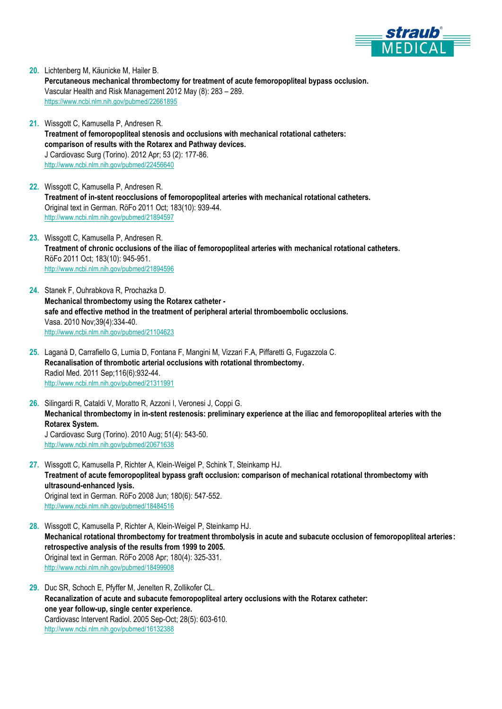

- **20.** Lichtenberg M, Käunicke M, Hailer B. **Percutaneous mechanical thrombectomy for treatment of acute femoropopliteal bypass occlusion.** Vascular Health and Risk Management 2012 May (8): 283 – 289. <https://www.ncbi.nlm.nih.gov/pubmed/22661895>
- **21.** Wissgott C, Kamusella P, Andresen R. **Treatment of femoropopliteal stenosis and occlusions with mechanical rotational catheters: comparison of results with the Rotarex and Pathway devices.** J Cardiovasc Surg (Torino). 2012 Apr; 53 (2): 177-86. <http://www.ncbi.nlm.nih.gov/pubmed/22456640>
- **22.** Wissgott C, Kamusella P, Andresen R. **Treatment of in-stent reocclusions of femoropopliteal arteries with mechanical rotational catheters.** Original text in German. RöFo 2011 Oct; 183(10): 939-44. <http://www.ncbi.nlm.nih.gov/pubmed/21894597>
- **23.** Wissgott C, Kamusella P, Andresen R. **Treatment of chronic occlusions of the iliac of femoropopliteal arteries with mechanical rotational catheters.** RöFo 2011 Oct; 183(10): 945-951. <http://www.ncbi.nlm.nih.gov/pubmed/21894596>
- **24.** Stanek F, Ouhrabkova R, Prochazka D. **Mechanical thrombectomy using the Rotarex catheter safe and effective method in the treatment of peripheral arterial thromboembolic occlusions.** Vasa. 2010 Nov;39(4):334-40. <http://www.ncbi.nlm.nih.gov/pubmed/21104623>
- **25.** Laganà D, Carrafiello G, Lumia D, Fontana F, Mangini M, Vizzari F.A, Piffaretti G, Fugazzola C. **Recanalisation of thrombotic arterial occlusions with rotational thrombectomy.** Radiol Med. 2011 Sep;116(6):932-44. <http://www.ncbi.nlm.nih.gov/pubmed/21311991>
- **26.** Silingardi R, Cataldi V, Moratto R, Azzoni I, Veronesi J, Coppi G. **Mechanical thrombectomy in in-stent restenosis: preliminary experience at the iliac and femoropopliteal arteries with the Rotarex System.** J Cardiovasc Surg (Torino). 2010 Aug; 51(4): 543-50. <http://www.ncbi.nlm.nih.gov/pubmed/20671638>
- **27.** Wissgott C, Kamusella P, Richter A, Klein-Weigel P, Schink T, Steinkamp HJ. **Treatment of acute femoropopliteal bypass graft occlusion: comparison of mechanical rotational thrombectomy with ultrasound-enhanced lysis.** Original text in German. RöFo 2008 Jun; 180(6): 547-552. <http://www.ncbi.nlm.nih.gov/pubmed/18484516>
- **28.** Wissgott C, Kamusella P, Richter A, Klein-Weigel P, Steinkamp HJ. **Mechanical rotational thrombectomy for treatment thrombolysis in acute and subacute occlusion of femoropopliteal arteries: retrospective analysis of the results from 1999 to 2005.** Original text in German. RöFo 2008 Apr; 180(4): 325-331. <http://www.ncbi.nlm.nih.gov/pubmed/18499908>
- **29.** Duc SR, Schoch E, Pfyffer M, Jenelten R, Zollikofer CL. **Recanalization of acute and subacute femoropopliteal artery occlusions with the Rotarex catheter: one year follow-up, single center experience.** Cardiovasc Intervent Radiol. 2005 Sep-Oct; 28(5): 603-610. <http://www.ncbi.nlm.nih.gov/pubmed/16132388>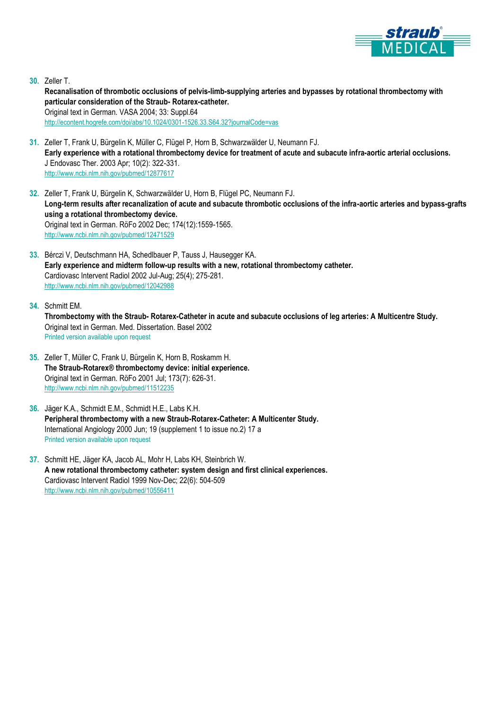

**30.** Zeller T.

**Recanalisation of thrombotic occlusions of pelvis-limb-supplying arteries and bypasses by rotational thrombectomy with particular consideration of the Straub- Rotarex-catheter.** Original text in German. VASA 2004; 33: Suppl.64 <http://econtent.hogrefe.com/doi/abs/10.1024/0301-1526.33.S64.32?journalCode=vas>

- **31.** Zeller T, Frank U, Bürgelin K, Müller C, Flügel P, Horn B, Schwarzwälder U, Neumann FJ. **Early experience with a rotational thrombectomy device for treatment of acute and subacute infra-aortic arterial occlusions.** J Endovasc Ther. 2003 Apr; 10(2): 322-331. <http://www.ncbi.nlm.nih.gov/pubmed/12877617>
- **32.** Zeller T, Frank U, Bürgelin K, Schwarzwälder U, Horn B, Flügel PC, Neumann FJ. **Long-term results after recanalization of acute and subacute thrombotic occlusions of the infra-aortic arteries and bypass-grafts using a rotational thrombectomy device.** Original text in German. RöFo 2002 Dec; 174(12):1559-1565. <http://www.ncbi.nlm.nih.gov/pubmed/12471529>
- **33.** Bérczi V, Deutschmann HA, Schedlbauer P, Tauss J, Hausegger KA. **Early experience and midterm follow-up results with a new, rotational thrombectomy catheter.** Cardiovasc Intervent Radiol 2002 Jul-Aug; 25(4); 275-281. <http://www.ncbi.nlm.nih.gov/pubmed/12042988>
- **34.** Schmitt EM.
	- **Thrombectomy with the Straub- Rotarex-Catheter in acute and subacute occlusions of leg arteries: A Multicentre Study.** Original text in German. Med. Dissertation. Basel 2002 Printed version available upon request
- **35.** Zeller T, Müller C, Frank U, Bürgelin K, Horn B, Roskamm H. **The Straub-Rotarex® thrombectomy device: initial experience.** Original text in German. RöFo 2001 Jul; 173(7): 626-31. <http://www.ncbi.nlm.nih.gov/pubmed/11512235>
- **36.** Jäger K.A., Schmidt E.M., Schmidt H.E., Labs K.H. **Peripheral thrombectomy with a new Straub-Rotarex-Catheter: A Multicenter Study.** International Angiology 2000 Jun; 19 (supplement 1 to issue no.2) 17 a Printed version available upon request
- **37.** Schmitt HE, Jäger KA, Jacob AL, Mohr H, Labs KH, Steinbrich W. **A new rotational thrombectomy catheter: system design and first clinical experiences.** Cardiovasc Intervent Radiol 1999 Nov-Dec; 22(6): 504-509 <http://www.ncbi.nlm.nih.gov/pubmed/10556411>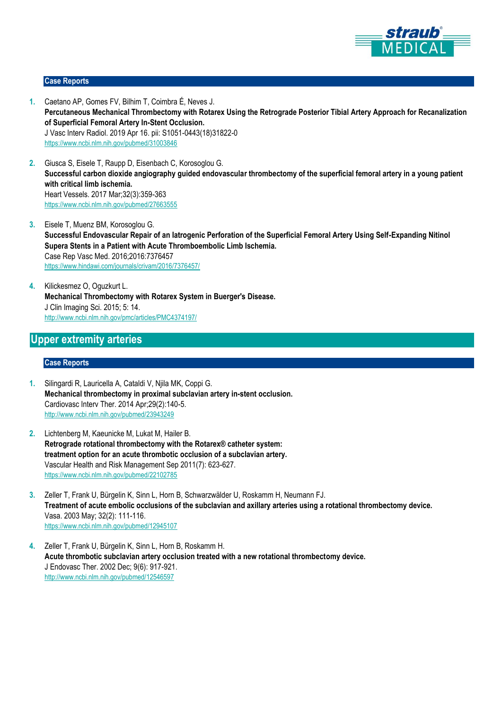

#### **Case Reports**

- **1.** Caetano AP, Gomes FV, Bilhim T, Coimbra É, Neves J. **Percutaneous Mechanical Thrombectomy with Rotarex Using the Retrograde Posterior Tibial Artery Approach for Recanalization of Superficial Femoral Artery In-Stent Occlusion.** J Vasc Interv Radiol. 2019 Apr 16. pii: S1051-0443(18)31822-0 <https://www.ncbi.nlm.nih.gov/pubmed/31003846>
- **2.** Giusca S, Eisele T, Raupp D, Eisenbach C, Korosoglou G. **Successful carbon dioxide angiography guided endovascular thrombectomy of the superficial femoral artery in a young patient with critical limb ischemia.** Heart Vessels. 2017 Mar;32(3):359-363 <https://www.ncbi.nlm.nih.gov/pubmed/27663555>
- **3.** Eisele T, Muenz BM, Korosoglou G. **Successful Endovascular Repair of an Iatrogenic Perforation of the Superficial Femoral Artery Using Self-Expanding Nitinol Supera Stents in a Patient with Acute Thromboembolic Limb Ischemia.** Case Rep Vasc Med. 2016;2016:7376457 <https://www.hindawi.com/journals/crivam/2016/7376457/>
- **4.** Kilickesmez O, Oguzkurt L. **Mechanical Thrombectomy with Rotarex System in Buerger's Disease.** J Clin Imaging Sci. 2015; 5: 14. <http://www.ncbi.nlm.nih.gov/pmc/articles/PMC4374197/>

# **Upper extremity arteries**

#### **Case Reports**

- **1.** Silingardi R, Lauricella A, Cataldi V, Njila MK, Coppi G. **Mechanical thrombectomy in proximal subclavian artery in-stent occlusion.** Cardiovasc Interv Ther. 2014 Apr;29(2):140-5. <http://www.ncbi.nlm.nih.gov/pubmed/23943249>
- **2.** Lichtenberg M, Kaeunicke M, Lukat M, Hailer B. **Retrograde rotational thrombectomy with the Rotarex® catheter system: treatment option for an acute thrombotic occlusion of a subclavian artery.** Vascular Health and Risk Management Sep 2011(7): 623-627. <https://www.ncbi.nlm.nih.gov/pubmed/22102785>
- **3.** Zeller T, Frank U, Bürgelin K, Sinn L, Horn B, Schwarzwälder U, Roskamm H, Neumann FJ. **Treatment of acute embolic occlusions of the subclavian and axillary arteries using a rotational thrombectomy device.** Vasa. 2003 May; 32(2): 111-116. <https://www.ncbi.nlm.nih.gov/pubmed/12945107>
- **4.** Zeller T, Frank U, Bürgelin K, Sinn L, Horn B, Roskamm H. **Acute thrombotic subclavian artery occlusion treated with a new rotational thrombectomy device.** J Endovasc Ther. 2002 Dec; 9(6): 917-921. <http://www.ncbi.nlm.nih.gov/pubmed/12546597>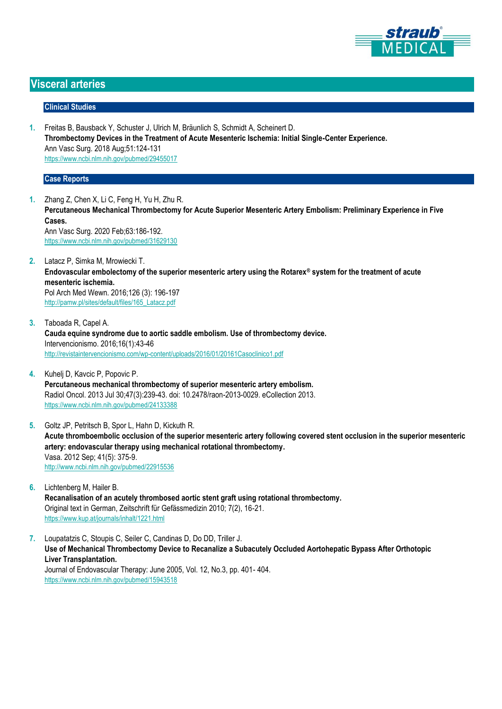

## **Visceral arteries**

#### **Clinical Studies**

**1.** Freitas B, Bausback Y, Schuster J, Ulrich M, Bräunlich S, Schmidt A, Scheinert D. **Thrombectomy Devices in the Treatment of Acute Mesenteric Ischemia: Initial Single-Center Experience.** Ann Vasc Surg. 2018 Aug;51:124-131 <https://www.ncbi.nlm.nih.gov/pubmed/29455017>

#### **Case Reports**

- **1.** Zhang Z, Chen X, Li C, Feng H, Yu H, Zhu R. **Percutaneous Mechanical Thrombectomy for Acute Superior Mesenteric Artery Embolism: Preliminary Experience in Five Cases.** Ann Vasc Surg. 2020 Feb;63:186-192. <https://www.ncbi.nlm.nih.gov/pubmed/31629130>
- **2.** Latacz P, Simka M, Mrowiecki T. **Endovascular embolectomy of the superior mesenteric artery using the Rotarex® system for the treatment of acute mesenteric ischemia.** Pol Arch Med Wewn. 2016;126 (3): 196-197 [http://pamw.pl/sites/default/files/165\\_Latacz.pdf](http://pamw.pl/sites/default/files/165_Latacz.pdf)
- **3.** Taboada R, Capel A. **Cauda equine syndrome due to aortic saddle embolism. Use of thrombectomy device.** Intervencionismo. 2016;16(1):43-46 <http://revistaintervencionismo.com/wp-content/uploads/2016/01/20161Casoclinico1.pdf>
- **4.** Kuhelj D, Kavcic P, Popovic P. **Percutaneous mechanical thrombectomy of superior mesenteric artery embolism.** Radiol Oncol. 2013 Jul 30;47(3):239-43. doi: 10.2478/raon-2013-0029. eCollection 2013. <https://www.ncbi.nlm.nih.gov/pubmed/24133388>
- **5.** Goltz JP, Petritsch B, Spor L, Hahn D, Kickuth R. **Acute thromboembolic occlusion of the superior mesenteric artery following covered stent occlusion in the superior mesenteric artery: endovascular therapy using mechanical rotational thrombectomy.** Vasa. 2012 Sep; 41(5): 375-9. <http://www.ncbi.nlm.nih.gov/pubmed/22915536>
- **6.** Lichtenberg M, Hailer B. **Recanalisation of an acutely thrombosed aortic stent graft using rotational thrombectomy.** Original text in German, Zeitschrift für Gefässmedizin 2010; 7(2), 16-21. <https://www.kup.at/journals/inhalt/1221.html>
- **7.** Loupatatzis C, Stoupis C, Seiler C, Candinas D, Do DD, Triller J. **Use of Mechanical Thrombectomy Device to Recanalize a Subacutely Occluded Aortohepatic Bypass After Orthotopic Liver Transplantation.** Journal of Endovascular Therapy: June 2005, Vol. 12, No.3, pp. 401- 404. [https://www.ncbi.nlm.nih.gov/pubmed/15943518](http://jet.sagepub.com/content/12/3/401.abstract)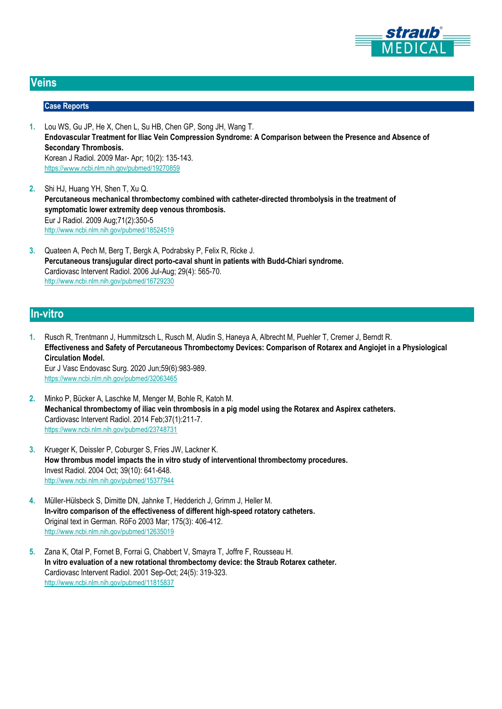

## **Veins**

#### **Case Reports**

- **1.** Lou WS, Gu JP, He X, Chen L, Su HB, Chen GP, Song JH, Wang T. **Endovascular Treatment for Iliac Vein Compression Syndrome: A Comparison between the Presence and Absence of Secondary Thrombosis.** Korean J Radiol. 2009 Mar- Apr; 10(2): 135-143. https://www[.ncbi.nlm.nih.gov/pubmed/19270859](https://www.ncbi.nlm.nih.gov/pubmed/19270859)
- **2.** Shi HJ, Huang YH, Shen T, Xu Q. **Percutaneous mechanical thrombectomy combined with catheter-directed thrombolysis in the treatment of symptomatic lower extremity deep venous thrombosis.** Eur J Radiol. 2009 Aug;71(2):350-5 <http://www.ncbi.nlm.nih.gov/pubmed/18524519>
- **3.** Quateen A, Pech M, Berg T, Bergk A, Podrabsky P, Felix R, Ricke J. **Percutaneous transjugular direct porto-caval shunt in patients with Budd-Chiari syndrome.** Cardiovasc Intervent Radiol. 2006 Jul-Aug; 29(4): 565-70. <http://www.ncbi.nlm.nih.gov/pubmed/16729230>

## **In-vitro**

- **1.** Rusch R, Trentmann J, Hummitzsch L, Rusch M, Aludin S, Haneya A, Albrecht M, Puehler T, Cremer J, Berndt R. **Effectiveness and Safety of Percutaneous Thrombectomy Devices: Comparison of Rotarex and Angiojet in a Physiological Circulation Model.** Eur J Vasc Endovasc Surg. 2020 Jun;59(6):983-989. <https://www.ncbi.nlm.nih.gov/pubmed/32063465>
- **2.** Minko P, Bücker A, Laschke M, Menger M, Bohle R, Katoh M. **Mechanical thrombectomy of iliac vein thrombosis in a pig model using the Rotarex and Aspirex catheters.** Cardiovasc Intervent Radiol. 2014 Feb;37(1):211-7. https://www.ncbi.nlm.nih.gov/pubmed/23748731
- **3.** Krueger K, Deissler P, Coburger S, Fries JW, Lackner K. **How thrombus model impacts the in vitro study of interventional thrombectomy procedures.** Invest Radiol. 2004 Oct; 39(10): 641-648. <http://www.ncbi.nlm.nih.gov/pubmed/15377944>
- **4.** Müller-Hülsbeck S, Dimitte DN, Jahnke T, Hedderich J, Grimm J, Heller M. **In-vitro comparison of the effectiveness of different high-speed rotatory catheters.** Original text in German. RöFo 2003 Mar; 175(3): 406-412. <http://www.ncbi.nlm.nih.gov/pubmed/12635019>
- **5.** Zana K, Otal P, Fornet B, Forrai G, Chabbert V, Smayra T, Joffre F, Rousseau H. **In vitro evaluation of a new rotational thrombectomy device: the Straub Rotarex catheter.** Cardiovasc Intervent Radiol. 2001 Sep-Oct; 24(5): 319-323. <http://www.ncbi.nlm.nih.gov/pubmed/11815837>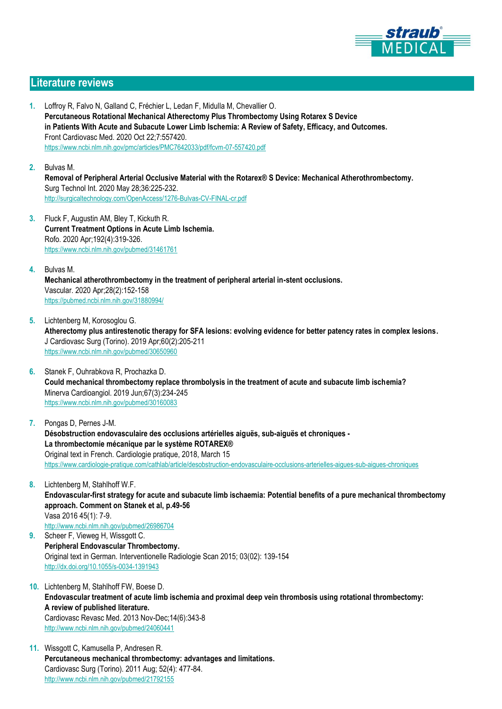

## **Literature reviews**

- **1.** Loffroy R, Falvo N, Galland C, Fréchier L, Ledan F, Midulla M, Chevallier O. **Percutaneous Rotational Mechanical Atherectomy Plus Thrombectomy Using Rotarex S Device in Patients With Acute and Subacute Lower Limb Ischemia: A Review of Safety, Efficacy, and Outcomes.** Front Cardiovasc Med. 2020 Oct 22;7:557420. <https://www.ncbi.nlm.nih.gov/pmc/articles/PMC7642033/pdf/fcvm-07-557420.pdf>
- **2.** Bulvas M. **Removal of Peripheral Arterial Occlusive Material with the Rotarex® S Device: Mechanical Atherothrombectomy.** Surg Technol Int. 2020 May 28;36:225-232. <http://surgicaltechnology.com/OpenAccess/1276-Bulvas-CV-FINAL-cr.pdf>
- **3.** Fluck F, Augustin AM, Bley T, Kickuth R. **Current Treatment Options in Acute Limb Ischemia.** Rofo. 2020 Apr;192(4):319-326. <https://www.ncbi.nlm.nih.gov/pubmed/31461761>
- **4.** Bulvas M. **Mechanical atherothrombectomy in the treatment of peripheral arterial in-stent occlusions.** Vascular. 2020 Apr;28(2):152-158 https://pubmed.ncbi.nlm.nih.gov/31880994/
- **5.** Lichtenberg M, Korosoglou G. **Atherectomy plus antirestenotic therapy for SFA lesions: evolving evidence for better patency rates in complex lesions.** J Cardiovasc Surg (Torino). 2019 Apr;60(2):205-211 <https://www.ncbi.nlm.nih.gov/pubmed/30650960>
- **6.** Stanek F, Ouhrabkova R, Prochazka D. **Could mechanical thrombectomy replace thrombolysis in the treatment of acute and subacute limb ischemia?** Minerva Cardioangiol. 2019 Jun;67(3):234-245 <https://www.ncbi.nlm.nih.gov/pubmed/30160083>
- **7.** Pongas D, Pernes J-M. **Désobstruction endovasculaire des occlusions artérielles aiguës, sub-aiguës et chroniques - La thrombectomie mécanique par le système ROTAREX®** Original text in French. Cardiologie pratique, 2018, March 15 <https://www.cardiologie-pratique.com/cathlab/article/desobstruction-endovasculaire-occlusions-arterielles-aigues-sub-aigues-chroniques>
- **8.** Lichtenberg M, Stahlhoff W.F. **Endovascular-first strategy for acute and subacute limb ischaemia: Potential benefits of a pure mechanical thrombectomy approach. Comment on Stanek et al, p.49-56** Vasa 2016 45(1): 7-9. <http://www.ncbi.nlm.nih.gov/pubmed/26986704>
- **9.** Scheer F, Vieweg H, Wissgott C. **Peripheral Endovascular Thrombectomy.** Original text in German. Interventionelle Radiologie Scan 2015; 03(02): 139-154 <http://dx.doi.org/10.1055/s-0034-1391943>
- **10.** Lichtenberg M, Stahlhoff FW, Boese D. **Endovascular treatment of acute limb ischemia and proximal deep vein thrombosis using rotational thrombectomy: A review of published literature.** Cardiovasc Revasc Med. 2013 Nov-Dec;14(6):343-8 <http://www.ncbi.nlm.nih.gov/pubmed/24060441>
- **11.** Wissgott C, Kamusella P, Andresen R. **Percutaneous mechanical thrombectomy: advantages and limitations.** Cardiovasc Surg (Torino). 2011 Aug; 52(4): 477-84. <http://www.ncbi.nlm.nih.gov/pubmed/21792155>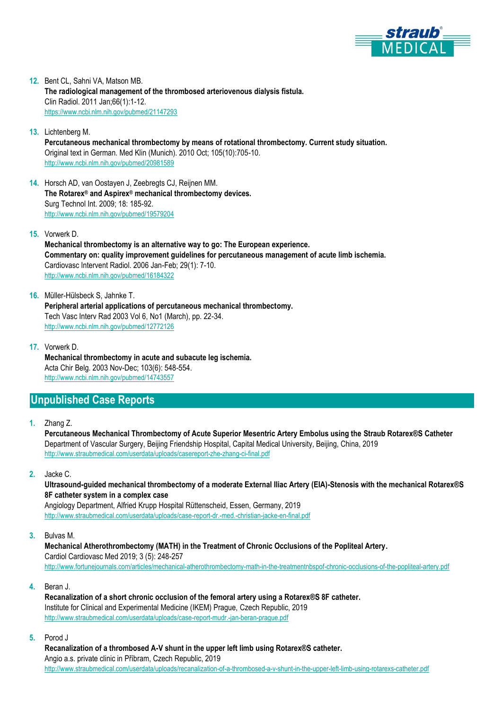

**12.** Bent CL, Sahni VA, Matson MB. **The radiological management of the thrombosed arteriovenous dialysis fistula.** Clin Radiol. 2011 Jan;66(1):1-12. <https://www.ncbi.nlm.nih.gov/pubmed/21147293>

- **13.** Lichtenberg M. **Percutaneous mechanical thrombectomy by means of rotational thrombectomy. Current study situation.** Original text in German. Med Klin (Munich). 2010 Oct; 105(10):705-10. <http://www.ncbi.nlm.nih.gov/pubmed/20981589>
- **14.** Horsch AD, van Oostayen J, Zeebregts CJ, Reijnen MM. **The Rotarex® and Aspirex® mechanical thrombectomy devices.** Surg Technol Int. 2009; 18: 185-92. <http://www.ncbi.nlm.nih.gov/pubmed/19579204>
- **15.** Vorwerk D.

**Mechanical thrombectomy is an alternative way to go: The European experience. Commentary on: quality improvement guidelines for percutaneous management of acute limb ischemia.** Cardiovasc Intervent Radiol. 2006 Jan-Feb; 29(1): 7-10. <http://www.ncbi.nlm.nih.gov/pubmed/16184322>

**16.** Müller-Hülsbeck S, Jahnke T.

**Peripheral arterial applications of percutaneous mechanical thrombectomy.** Tech Vasc Interv Rad 2003 Vol 6, No1 (March), pp. 22-34. <http://www.ncbi.nlm.nih.gov/pubmed/12772126>

**17.** Vorwerk D.

**Mechanical thrombectomy in acute and subacute leg ischemia.** Acta Chir Belg. 2003 Nov-Dec; 103(6): 548-554. <http://www.ncbi.nlm.nih.gov/pubmed/14743557>

## **Unpublished Case Reports**

**1.** Zhang Z.

**Percutaneous Mechanical Thrombectomy of Acute Superior Mesentric Artery Embolus using the Straub Rotarex®S Catheter** Department of Vascular Surgery, Beijing Friendship Hospital, Capital Medical University, Beijing, China, 2019 <http://www.straubmedical.com/userdata/uploads/casereport-zhe-zhang-ci-final.pdf>

**2.** Jacke C.

**Ultrasound-guided mechanical thrombectomy of a moderate External Iliac Artery (EIA)-Stenosis with the mechanical Rotarex®S 8F catheter system in a complex case**

Angiology Department, Alfried Krupp Hospital Rüttenscheid, Essen, Germany, 2019 <http://www.straubmedical.com/userdata/uploads/case-report-dr.-med.-christian-jacke-en-final.pdf>

**3.** Bulvas M.

**Mechanical Atherothrombectomy (MATH) in the Treatment of Chronic Occlusions of the Popliteal Artery.** Cardiol Cardiovasc Med 2019; 3 (5): 248-257 <http://www.fortunejournals.com/articles/mechanical-atherothrombectomy-math-in-the-treatmentnbspof-chronic-occlusions-of-the-popliteal-artery.pdf>

**4.** Beran J.

**Recanalization of a short chronic occlusion of the femoral artery using a Rotarex®S 8F catheter.** Institute for Clinical and Experimental Medicine (IKEM) Prague, Czech Republic, 2019 <http://www.straubmedical.com/userdata/uploads/case-report-mudr.-jan-beran-prague.pdf>

**5.** Porod J

**Recanalization of a thrombosed A-V shunt in the upper left limb using Rotarex®S catheter.** Angio a.s. private clinic in Příbram, Czech Republic, 2019 <http://www.straubmedical.com/userdata/uploads/recanalization-of-a-thrombosed-a-v-shunt-in-the-upper-left-limb-using-rotarexs-catheter.pdf>